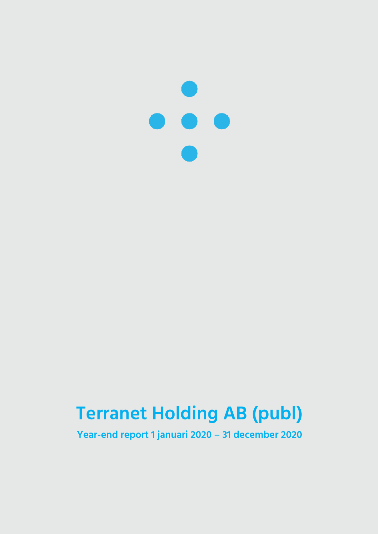

# **Terranet Holding AB (publ)**

**Year-end report 1 januari 2020 – 31 december 2020**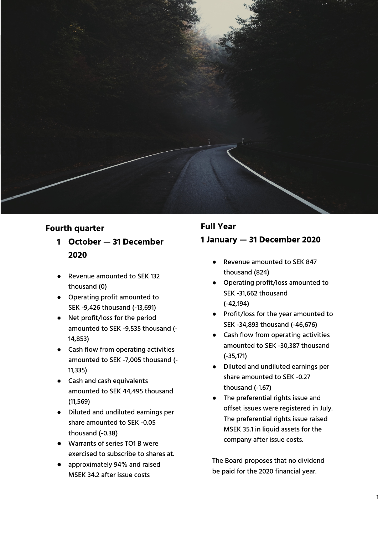

- **Fourth quarter 1 October — 31 December 2020**
	- Revenue amounted to SEK 132 thousand (0)
	- Operating profit amounted to SEK -9,426 thousand ( -13,691)
	- Net profit/loss for the period amounted to SEK -9,535 thousand ( - 14,853)
	- Cash flow from operating activities amounted to SEK -7,005 thousand ( - 11,335)
	- Cash and cash equivalents amounted to SEK 44,495 thousand (11,569)
	- Diluted and undiluted earnings per share amounted to SEK -0.05 thousand ( -0.38)
	- Warrants of series TO1 B were exercised to subscribe to shares at .
	- approximately 94% and raised MSEK 34.2 after issue costs

### **Full Year 1 January — 31 December 2020**

- Revenue amounted to SEK 847 thousand (824)
- Operating profit/loss amounted to SEK -31,662 thousand ( -42,194)
- Profit/loss for the year amounted to SEK -34,893 thousand ( -46,676)
- Cash flow from operating activities amounted to SEK -30,387 thousand ( -35,171)
- Diluted and undiluted earnings per share amounted to SEK -0.27 thousand ( -1.67)
- The preferential rights issue and offset issues were registered in July. The preferential rights issue raised MSEK 35.1 in liquid assets for the company after issue costs.

The Board proposes that no dividend be paid for the 2020 financial year.

1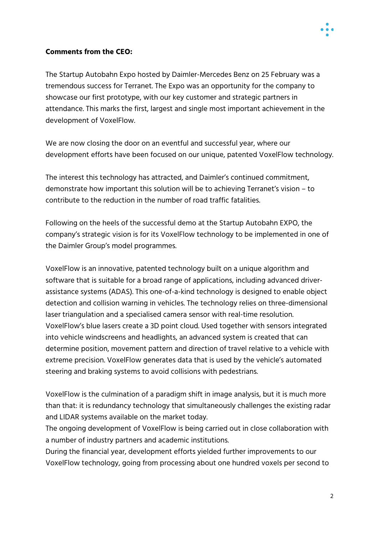

#### **Comments from the CEO:**

The Startup Autobahn Expo hosted by Daimler-Mercedes Benz on 25 February was a tremendous success for Terranet. The Expo was an opportunity for the company to showcase our first prototype, with our key customer and strategic partners in attendance. This marks the first, largest and single most important achievement in the development of VoxelFlow.

We are now closing the door on an eventful and successful year, where our development efforts have been focused on our unique, patented VoxelFlow technology.

The interest this technology has attracted, and Daimler's continued commitment, demonstrate how important this solution will be to achieving Terranet's vision – to contribute to the reduction in the number of road traffic fatalities.

Following on the heels of the successful demo at the Startup Autobahn EXPO, the company's strategic vision is for its VoxelFlow technology to be implemented in one of the Daimler Group's model programmes.

VoxelFlow is an innovative, patented technology built on a unique algorithm and software that is suitable for a broad range of applications, including advanced driverassistance systems (ADAS). This one-of-a-kind technology is designed to enable object detection and collision warning in vehicles. The technology relies on three-dimensional laser triangulation and a specialised camera sensor with real-time resolution. VoxelFlow's blue lasers create a 3D point cloud. Used together with sensors integrated into vehicle windscreens and headlights, an advanced system is created that can determine position, movement pattern and direction of travel relative to a vehicle with extreme precision. VoxelFlow generates data that is used by the vehicle's automated steering and braking systems to avoid collisions with pedestrians.

VoxelFlow is the culmination of a paradigm shift in image analysis, but it is much more than that: it is redundancy technology that simultaneously challenges the existing radar and LIDAR systems available on the market today.

The ongoing development of VoxelFlow is being carried out in close collaboration with a number of industry partners and academic institutions.

During the financial year, development efforts yielded further improvements to our VoxelFlow technology, going from processing about one hundred voxels per second to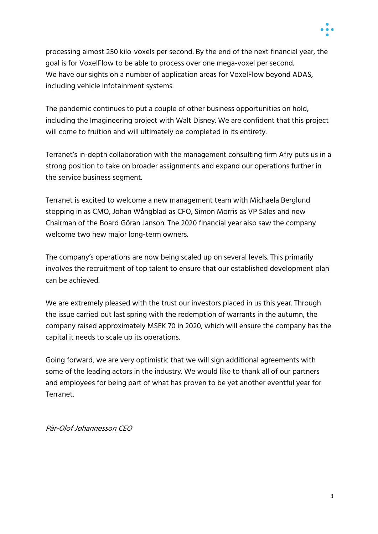

processing almost 250 kilo-voxels per second. By the end of the next financial year, the goal is for VoxelFlow to be able to process over one mega-voxel per second. We have our sights on a number of application areas for VoxelFlow beyond ADAS, including vehicle infotainment systems.

The pandemic continues to put a couple of other business opportunities on hold, including the Imagineering project with Walt Disney. We are confident that this project will come to fruition and will ultimately be completed in its entirety.

Terranet's in-depth collaboration with the management consulting firm Afry puts us in a strong position to take on broader assignments and expand our operations further in the service business segment.

Terranet is excited to welcome a new management team with Michaela Berglund stepping in as CMO, Johan Wångblad as CFO, Simon Morris as VP Sales and new Chairman of the Board Göran Janson. The 2020 financial year also saw the company welcome two new major long-term owners.

The company's operations are now being scaled up on several levels. This primarily involves the recruitment of top talent to ensure that our established development plan can be achieved.

We are extremely pleased with the trust our investors placed in us this year. Through the issue carried out last spring with the redemption of warrants in the autumn, the company raised approximately MSEK 70 in 2020, which will ensure the company has the capital it needs to scale up its operations.

Going forward, we are very optimistic that we will sign additional agreements with some of the leading actors in the industry. We would like to thank all of our partners and employees for being part of what has proven to be yet another eventful year for Terranet.

Pär-Olof Johannesson CEO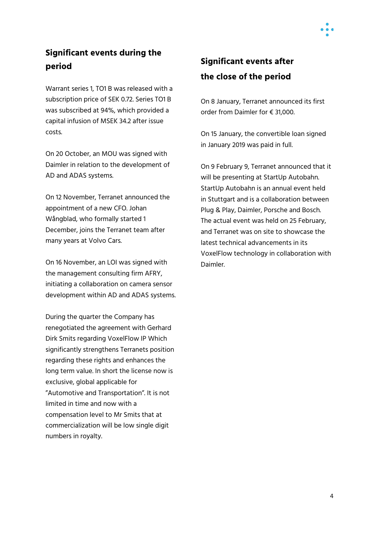### **Significant events during the period**

Warrant series 1, TO1 B was released with a subscription price of SEK 0.72. Series TO1 B was subscribed at 94%, which provided a capital infusion of MSEK 34.2 after issue costs.

On 20 October, an MOU was signed with Daimler in relation to the development of AD and ADAS systems.

On 12 November, Terranet announced the appointment of a new CFO. Johan Wångblad, who formally started 1 December, joins the Terranet team after many years at Volvo Cars.

On 16 November, an LOI was signed with the management consulting firm AFRY, initiating a collaboration on camera sensor development within AD and ADAS systems.

During the quarter the Company has renegotiated the agreement with Gerhard Dirk Smits regarding VoxelFlow IP Which significantly strengthens Terranets position regarding these rights and enhances the long term value. In short the license now is exclusive, global applicable for "Automotive and Transportation". It is not limited in time and now with a compensation level to Mr Smits that at commercialization will be low single digit numbers in royalty.

## **Significant events after the close of the period**

On 8 January, Terranet announced its first order from Daimler for € 31,000.

On 15 January, the convertible loan signed in January 2019 was paid in full.

On 9 February 9, Terranet announced that it will be presenting at StartUp Autobahn. StartUp Autobahn is an annual event held in Stuttgart and is a collaboration between Plug & Play, Daimler, Porsche and Bosch. The actual event was held on 25 February, and Terranet was on site to showcase the latest technical advancements in its VoxelFlow technology in collaboration with Daimler.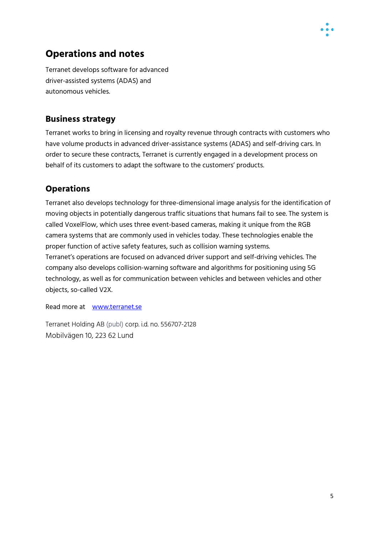

### **Operations and notes**

Terranet develops software for advanced driver-assisted systems (ADAS) and autonomous vehicles.

### **Business strategy**

Terranet works to bring in licensing and royalty revenue through contracts with customers who have volume products in advanced driver-assistance systems (ADAS) and self-driving cars. In order to secure these contracts, Terranet is currently engaged in a development process on behalf of its customers to adapt the software to the customers' products.

### **Operations**

Terranet also develops technology for three-dimensional image analysis for the identification of moving objects in potentially dangerous traffic situations that humans fail to see. The system is called VoxelFlow, which uses three event-based cameras, making it unique from the RGB camera systems that are commonly used in vehicles today. These technologies enable the proper function of active safety features, such as collision warning systems. Terranet's operations are focused on advanced driver support and self-driving vehicles. The company also develops collision-warning software and algorithms for positioning using 5G technology, as well as for communication between vehicles and between vehicles and other objects, so-called V2X.

Read more at www.terranet.se

Terranet Holding AB (publ) corp. i.d. no. 556707-2128 Mobilvägen 10, 223 62 Lund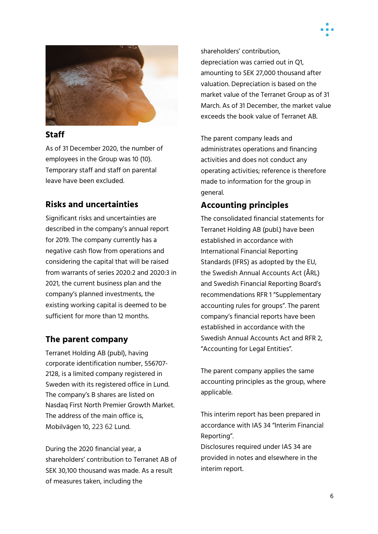



#### **Staff**

As of 31 December 2020, the number of employees in the Group was 10 (10). Temporary staff and staff on parental leave have been excluded.

### **Risks and uncertainties**

Significant risks and uncertainties are described in the company's annual report for 2019. The company currently has a negative cash flow from operations and considering the capital that will be raised from warrants of series 2020:2 and 2020:3 in 2021, the current business plan and the company's planned investments, the existing working capital is deemed to be sufficient for more than 12 months.

#### **The parent company**

Terranet Holding AB (publ), having corporate identification number, 556707- 2128, is a limited company registered in Sweden with its registered office in Lund. The company's B shares are listed on Nasdaq First North Premier Growth Market. The address of the main office is, Mobilvägen 10, 223 62 Lund.

During the 2020 financial year, a shareholders' contribution to Terranet AB of SEK 30,100 thousand was made. As a result of measures taken, including the

shareholders' contribution, depreciation was carried out in Q1, amounting to SEK 27,000 thousand after valuation. Depreciation is based on the market value of the Terranet Group as of 31 March. As of 31 December, the market value exceeds the book value of Terranet AB.

The parent company leads and administrates operations and financing activities and does not conduct any operating activities; reference is therefore made to information for the group in general.

### **Accounting principles**

The consolidated financial statements for Terranet Holding AB (publ.) have been established in accordance with International Financial Reporting Standards (IFRS) as adopted by the EU, the Swedish Annual Accounts Act (ÅRL) and Swedish Financial Reporting Board's recommendations RFR 1 "Supplementary accounting rules for groups". The parent company's financial reports have been established in accordance with the Swedish Annual Accounts Act and RFR 2, "Accounting for Legal Entities".

The parent company applies the same accounting principles as the group, where applicable.

This interim report has been prepared in accordance with IAS 34 "Interim Financial Reporting".

Disclosures required under IAS 34 are provided in notes and elsewhere in the interim report.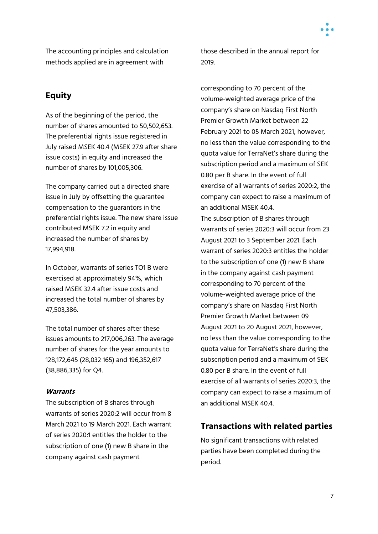

The accounting principles and calculation methods applied are in agreement with

### **Equity**

As of the beginning of the period, the number of shares amounted to 50,502,653. The preferential rights issue registered in July raised MSEK 40.4 (MSEK 27.9 after share issue costs) in equity and increased the number of shares by 101,005,306.

The company carried out a directed share issue in July by offsetting the guarantee compensation to the guarantors in the preferential rights issue. The new share issue contributed MSEK 7.2 in equity and increased the number of shares by 17,994,918.

In October, warrants of series TO1 B were exercised at approximately 94%, which raised MSEK 32.4 after issue costs and increased the total number of shares by 47,503,386.

The total number of shares after these issues amounts to 217,006,263. The average number of shares for the year amounts to 128,172,645 (28,032 165) and 196,352,617 (38,886,335) for Q4.

#### **Warrants**

The subscription of B shares through warrants of series 2020:2 will occur from 8 March 2021 to 19 March 2021. Each warrant of series 2020:1 entitles the holder to the subscription of one (1) new B share in the company against cash payment

those described in the annual report for 2019.

corresponding to 70 percent of the volume-weighted average price of the company's share on Nasdaq First North Premier Growth Market between 22 February 2021 to 05 March 2021, however, no less than the value corresponding to the quota value for TerraNet's share during the subscription period and a maximum of SEK 0.80 per B share. In the event of full exercise of all warrants of series 2020:2, the company can expect to raise a maximum of an additional MSEK 40.4.

The subscription of B shares through warrants of series 2020:3 will occur from 23 August 2021 to 3 September 2021. Each warrant of series 2020:3 entitles the holder to the subscription of one (1) new B share in the company against cash payment corresponding to 70 percent of the volume-weighted average price of the company's share on Nasdaq First North Premier Growth Market between 09 August 2021 to 20 August 2021, however, no less than the value corresponding to the quota value for TerraNet's share during the subscription period and a maximum of SEK 0.80 per B share. In the event of full exercise of all warrants of series 2020:3, the company can expect to raise a maximum of an additional MSEK 40.4.

### **Transactions with related parties**

No significant transactions with related parties have been completed during the period.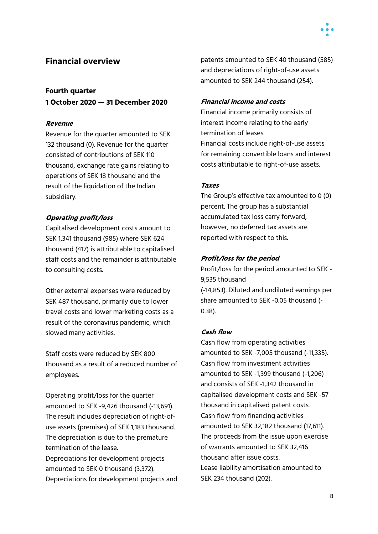### **Financial overview**

#### **Fourth quarter**

**1 October 2020 — 31 December 2020**

#### **Revenue**

Revenue for the quarter amounted to SEK 132 thousand (0). Revenue for the quarter consisted of contributions of SEK 110 thousand, exchange rate gains relating to operations of SEK 18 thousand and the result of the liquidation of the Indian subsidiary.

#### **Operating profit/loss**

Capitalised development costs amount to SEK 1,341 thousand (985) where SEK 624 thousand (417) is attributable to capitalised staff costs and the remainder is attributable to consulting costs.

Other external expenses were reduced by SEK 487 thousand, primarily due to lower travel costs and lower marketing costs as a result of the coronavirus pandemic, which slowed many activities.

Staff costs were reduced by SEK 800 thousand as a result of a reduced number of employees.

Operating profit/loss for the quarter amounted to SEK -9,426 thousand (-13,691). The result includes depreciation of right-ofuse assets (premises) of SEK 1,183 thousand. The depreciation is due to the premature termination of the lease. Depreciations for development projects amounted to SEK 0 thousand (3,372). Depreciations for development projects and patents amounted to SEK 40 thousand (585) and depreciations of right-of-use assets amounted to SEK 244 thousand (254).

#### **Financial income and costs**

Financial income primarily consists of interest income relating to the early termination of leases. Financial costs include right-of-use assets for remaining convertible loans and interest costs attributable to right-of-use assets.

#### **Taxes**

The Group's effective tax amounted to 0 (0) percent. The group has a substantial accumulated tax loss carry forward, however, no deferred tax assets are reported with respect to this.

#### **Profit/loss for the period**

Profit/loss for the period amounted to SEK - 9,535 thousand (-14,853). Diluted and undiluted earnings per share amounted to SEK -0.05 thousand (- 0.38).

#### **Cash flow**

Cash flow from operating activities amounted to SEK -7,005 thousand (-11,335). Cash flow from investment activities amounted to SEK -1,399 thousand (-1,206) and consists of SEK -1,342 thousand in capitalised development costs and SEK -57 thousand in capitalised patent costs. Cash flow from financing activities amounted to SEK 32,182 thousand (17,611). The proceeds from the issue upon exercise of warrants amounted to SEK 32,416 thousand after issue costs. Lease liability amortisation amounted to SEK 234 thousand (202).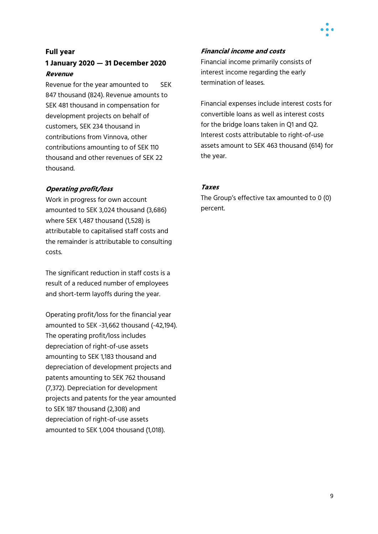#### **Full year**

#### **1 January 2020 — 31 December 2020 Revenue**

Revenue for the year amounted to SEK 847 thousand (824). Revenue amounts to SEK 481 thousand in compensation for development projects on behalf of customers, SEK 234 thousand in contributions from Vinnova, other contributions amounting to of SEK 110 thousand and other revenues of SEK 22 thousand.

#### **Operating profit/loss**

Work in progress for own account amounted to SEK 3,024 thousand (3,686) where SEK 1,487 thousand (1,528) is attributable to capitalised staff costs and the remainder is attributable to consulting costs.

The significant reduction in staff costs is a result of a reduced number of employees and short-term layoffs during the year.

Operating profit/loss for the financial year amounted to SEK -31,662 thousand (-42,194). The operating profit/loss includes depreciation of right-of-use assets amounting to SEK 1,183 thousand and depreciation of development projects and patents amounting to SEK 762 thousand (7,372). Depreciation for development projects and patents for the year amounted to SEK 187 thousand (2,308) and depreciation of right-of-use assets amounted to SEK 1,004 thousand (1,018).

#### **Financial income and costs**

Financial income primarily consists of interest income regarding the early termination of leases.

Financial expenses include interest costs for convertible loans as well as interest costs for the bridge loans taken in Q1 and Q2. Interest costs attributable to right-of-use assets amount to SEK 463 thousand (614) for the year.

#### **Taxes**

The Group's effective tax amounted to 0 (0) percent.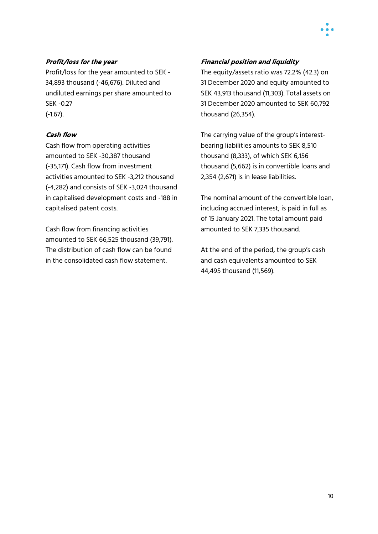

#### **Profit/loss for the year**

Profit/loss for the year amounted to SEK - 34,893 thousand (-46,676). Diluted and undiluted earnings per share amounted to SEK -0.27 (-1.67).

#### **Cash flow**

Cash flow from operating activities amounted to SEK -30,387 thousand (-35,171). Cash flow from investment activities amounted to SEK -3,212 thousand (-4,282) and consists of SEK -3,024 thousand in capitalised development costs and -188 in capitalised patent costs.

Cash flow from financing activities amounted to SEK 66,525 thousand (39,791). The distribution of cash flow can be found in the consolidated cash flow statement.

#### **Financial position and liquidity**

The equity/assets ratio was 72.2% (42.3) on 31 December 2020 and equity amounted to SEK 43,913 thousand (11,303). Total assets on 31 December 2020 amounted to SEK 60,792 thousand (26,354).

The carrying value of the group's interestbearing liabilities amounts to SEK 8,510 thousand (8,333), of which SEK 6,156 thousand (5,662) is in convertible loans and 2,354 (2,671) is in lease liabilities.

The nominal amount of the convertible loan, including accrued interest, is paid in full as of 15 January 2021. The total amount paid amounted to SEK 7,335 thousand.

At the end of the period, the group's cash and cash equivalents amounted to SEK 44,495 thousand (11,569).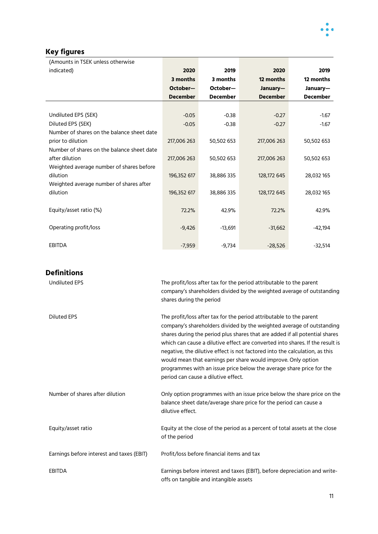

### **Key figures**

| (Amounts in TSEK unless otherwise                   |                                                                                                                                              |                                     |                                                                     |                                                                       |  |
|-----------------------------------------------------|----------------------------------------------------------------------------------------------------------------------------------------------|-------------------------------------|---------------------------------------------------------------------|-----------------------------------------------------------------------|--|
| indicated)                                          | 2020                                                                                                                                         | 2019                                | 2020                                                                | 2019                                                                  |  |
|                                                     | 3 months                                                                                                                                     | 3 months                            | 12 months                                                           | 12 months                                                             |  |
|                                                     | October-                                                                                                                                     | October-                            | January-                                                            | January-                                                              |  |
|                                                     | <b>December</b>                                                                                                                              | <b>December</b>                     | <b>December</b>                                                     | <b>December</b>                                                       |  |
|                                                     |                                                                                                                                              |                                     |                                                                     |                                                                       |  |
| Undiluted EPS (SEK)                                 | $-0.05$                                                                                                                                      | $-0.38$                             | $-0.27$                                                             | $-1.67$                                                               |  |
| Diluted EPS (SEK)                                   | $-0.05$                                                                                                                                      | $-0.38$                             | $-0.27$                                                             | $-1.67$                                                               |  |
| Number of shares on the balance sheet date          |                                                                                                                                              |                                     |                                                                     |                                                                       |  |
| prior to dilution                                   | 217,006 263                                                                                                                                  | 50,502 653                          | 217,006 263                                                         | 50,502 653                                                            |  |
| Number of shares on the balance sheet date          |                                                                                                                                              |                                     |                                                                     |                                                                       |  |
| after dilution                                      | 217,006 263                                                                                                                                  | 50,502 653                          | 217,006 263                                                         | 50,502 653                                                            |  |
| Weighted average number of shares before            |                                                                                                                                              |                                     |                                                                     |                                                                       |  |
| dilution                                            | 196,352 617                                                                                                                                  | 38,886 335                          | 128,172 645                                                         | 28,032 165                                                            |  |
| Weighted average number of shares after<br>dilution | 196,352 617                                                                                                                                  | 38,886 335                          | 128,172 645                                                         | 28,032 165                                                            |  |
|                                                     |                                                                                                                                              |                                     |                                                                     |                                                                       |  |
| Equity/asset ratio (%)                              | 72.2%                                                                                                                                        | 42.9%                               | 72.2%                                                               | 42.9%                                                                 |  |
|                                                     |                                                                                                                                              |                                     |                                                                     |                                                                       |  |
| Operating profit/loss                               | $-9,426$                                                                                                                                     | $-13,691$                           | $-31,662$                                                           | $-42,194$                                                             |  |
|                                                     |                                                                                                                                              |                                     |                                                                     |                                                                       |  |
| <b>EBITDA</b>                                       | $-7,959$                                                                                                                                     | $-9,734$                            | $-28,526$                                                           | $-32,514$                                                             |  |
|                                                     |                                                                                                                                              |                                     |                                                                     |                                                                       |  |
|                                                     |                                                                                                                                              |                                     |                                                                     |                                                                       |  |
| <b>Definitions</b>                                  |                                                                                                                                              |                                     |                                                                     |                                                                       |  |
| <b>Undiluted EPS</b>                                |                                                                                                                                              |                                     | The profit/loss after tax for the period attributable to the parent |                                                                       |  |
|                                                     |                                                                                                                                              |                                     |                                                                     | company's shareholders divided by the weighted average of outstanding |  |
|                                                     | shares during the period                                                                                                                     |                                     |                                                                     |                                                                       |  |
| <b>Diluted EPS</b>                                  |                                                                                                                                              |                                     |                                                                     |                                                                       |  |
|                                                     | The profit/loss after tax for the period attributable to the parent<br>company's shareholders divided by the weighted average of outstanding |                                     |                                                                     |                                                                       |  |
|                                                     | shares during the period plus shares that are added if all potential shares                                                                  |                                     |                                                                     |                                                                       |  |
|                                                     | which can cause a dilutive effect are converted into shares. If the result is                                                                |                                     |                                                                     |                                                                       |  |
|                                                     | negative, the dilutive effect is not factored into the calculation, as this                                                                  |                                     |                                                                     |                                                                       |  |
|                                                     | would mean that earnings per share would improve. Only option                                                                                |                                     |                                                                     |                                                                       |  |
|                                                     | programmes with an issue price below the average share price for the                                                                         |                                     |                                                                     |                                                                       |  |
|                                                     |                                                                                                                                              | period can cause a dilutive effect. |                                                                     |                                                                       |  |
|                                                     |                                                                                                                                              |                                     |                                                                     |                                                                       |  |

Number of shares after dilution Only option programmes with an issue price below the share price on the balance sheet date/average share price for the period can cause a dilutive effect. Equity/asset ratio Equity at the close of the period as a percent of total assets at the close of the period

Earnings before interest and taxes (EBIT) Profit/loss before financial items and tax EBITDA Earnings before interest and taxes (EBIT), before depreciation and writeoffs on tangible and intangible assets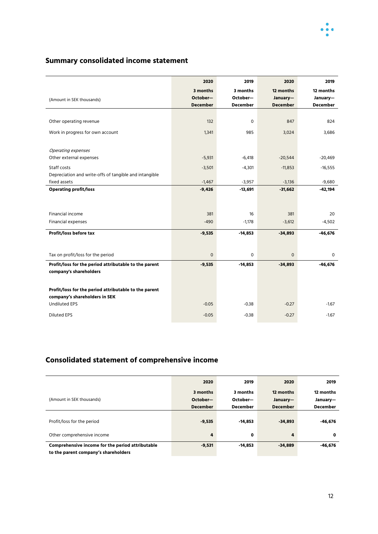

### **Summary consolidated income statement**

|                                                        | 2020                | 2019            | 2020            | 2019            |
|--------------------------------------------------------|---------------------|-----------------|-----------------|-----------------|
|                                                        | 3 months            | 3 months        | 12 months       | 12 months       |
| (Amount in SEK thousands)                              | October-            | October-        | January-        | January-        |
|                                                        | <b>December</b>     | <b>December</b> | <b>December</b> | <b>December</b> |
|                                                        |                     |                 |                 |                 |
| Other operating revenue                                | 132                 | $\mathbf 0$     | 847             | 824             |
| Work in progress for own account                       | 1,341               | 985             | 3,024           | 3,686           |
|                                                        |                     |                 |                 |                 |
| Operating expenses                                     |                     |                 |                 |                 |
| Other external expenses                                | $-5,931$            | $-6,418$        | $-20,544$       | $-20,469$       |
| Staff costs                                            | $-3,501$            | $-4,301$        | $-11,853$       | $-16,555$       |
| Depreciation and write-offs of tangible and intangible |                     |                 |                 |                 |
| fixed assets                                           | $-1,467$            | $-3,957$        | $-3,136$        | $-9,680$        |
| <b>Operating profit/loss</b>                           | $-9,426$            | $-13,691$       | $-31,662$       | $-42,194$       |
|                                                        |                     |                 |                 |                 |
|                                                        |                     |                 |                 |                 |
| Financial income                                       | 381                 | 16              | 381             | 20              |
| Financial expenses                                     | $-490$              | $-1,178$        | $-3,612$        | $-4,502$        |
| Profit/loss before tax                                 | $-9,535$            | $-14,853$       | $-34,893$       | $-46,676$       |
|                                                        |                     |                 |                 |                 |
|                                                        |                     |                 |                 |                 |
| Tax on profit/loss for the period                      | $\mathsf{O}\xspace$ | $\circ$         | 0               | 0               |
| Profit/loss for the period attributable to the parent  | $-9,535$            | $-14,853$       | $-34,893$       | $-46,676$       |
| company's shareholders                                 |                     |                 |                 |                 |
|                                                        |                     |                 |                 |                 |
| Profit/loss for the period attributable to the parent  |                     |                 |                 |                 |
| company's shareholders in SEK                          |                     |                 |                 |                 |
| <b>Undiluted EPS</b>                                   | $-0.05$             | $-0.38$         | $-0.27$         | $-1.67$         |
| <b>Diluted EPS</b>                                     | $-0.05$             | $-0.38$         | $-0.27$         | $-1.67$         |
|                                                        |                     |                 |                 |                 |

### **Consolidated statement of comprehensive income**

|                                                  | 2020            | 2019            | 2020            | 2019            |
|--------------------------------------------------|-----------------|-----------------|-----------------|-----------------|
|                                                  | 3 months        | 3 months        | 12 months       | 12 months       |
| (Amount in SEK thousands)                        | October-        | October-        | January-        | January-        |
|                                                  | <b>December</b> | <b>December</b> | <b>December</b> | <b>December</b> |
| Profit/loss for the period                       | $-9,535$        | $-14.853$       | $-34.893$       | $-46,676$       |
| Other comprehensive income                       | 4               | 0               | 4               | 0               |
| Comprehensive income for the period attributable | $-9,531$        | $-14.853$       | $-34,889$       | -46,676         |
| to the parent company's shareholders             |                 |                 |                 |                 |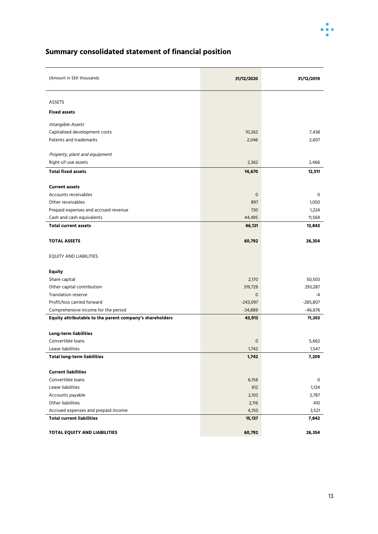

### **Summary consolidated statement of financial position**

| (Amount in SEK thousands                                 | 31/12/2020       | 31/12/2019      |
|----------------------------------------------------------|------------------|-----------------|
| <b>ASSETS</b>                                            |                  |                 |
| <b>Fixed assets</b>                                      |                  |                 |
| Intangible Assets                                        |                  |                 |
| Capitalised development costs                            | 10,262           | 7,438           |
| Patents and trademarks                                   | 2,046            | 2,607           |
|                                                          |                  |                 |
| Property, plant and equipment                            |                  |                 |
| Right-of-use assets                                      | 2,362            | 2,466           |
| <b>Total fixed assets</b>                                | 14,670           | 12,511          |
|                                                          |                  |                 |
| <b>Current assets</b>                                    |                  |                 |
| Accounts receivables<br>Other receivables                | $\circ$          | 0               |
|                                                          | 897<br>730       | 1,050           |
| Prepaid expenses and accrued revenue                     |                  | 1,224<br>11,569 |
| Cash and cash equivalents<br><b>Total current assets</b> | 44,495<br>46,121 | 13,843          |
|                                                          |                  |                 |
| <b>TOTAL ASSETS</b>                                      | 60,792           | 26,354          |
| <b>EQUITY AND LIABILITIES</b>                            |                  |                 |
| <b>Equity</b>                                            |                  |                 |
| Share capital                                            | 2,170            | 50,503          |
| Other capital contribution                               | 319,729          | 293,287         |
| <b>Translation reserve</b>                               | $\mathbf 0$      | $-4$            |
| Profit/loss carried forward                              | $-243,097$       | $-285,807$      |
| Comprehensive income for the period                      | $-34,889$        | -46,676         |
| Equity attributable to the parent company's shareholders | 43,913           | 11,303          |
|                                                          |                  |                 |
| <b>Long-term liabilities</b>                             |                  |                 |
| Convertible loans                                        | $\mathbf 0$      | 5,662           |
| Lease liabilities                                        | 1,742            | 1,547           |
| <b>Total long-term liabilities</b>                       | 1,742            | 7,209           |
| <b>Current liabilities</b>                               |                  |                 |
| Convertible loans                                        | 6,156            | 0               |
| Lease liabilities                                        | 612              | 1,124           |
| Accounts payable                                         | 2,103            | 2,787           |
| Other liabilities                                        | 2,116            | 410             |
| Accrued expenses and prepaid income                      | 4,150            | 3,521           |
| <b>Total current liabilities</b>                         | 15,137           | 7,842           |
|                                                          |                  |                 |
| TOTAL EQUITY AND LIABILITIES                             | 60,792           | 26,354          |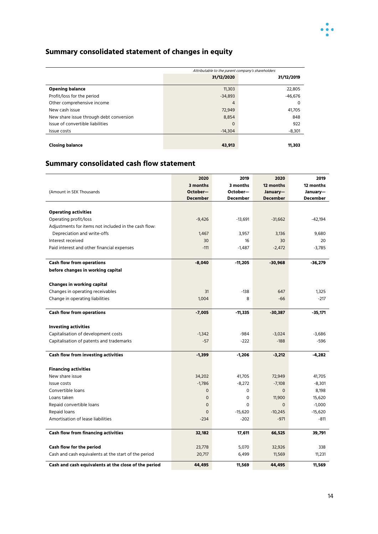

### **Summary consolidated statement of changes in equity**

|                                         | Attributable to the parent company's shareholders |            |  |
|-----------------------------------------|---------------------------------------------------|------------|--|
|                                         | 31/12/2020                                        | 31/12/2019 |  |
| <b>Opening balance</b>                  | 11,303                                            | 22,805     |  |
| Profit/loss for the period              | $-34.893$                                         | $-46.676$  |  |
| Other comprehensive income              | $\overline{4}$                                    | 0          |  |
| New cash issue                          | 72,949                                            | 41,705     |  |
| New share issue through debt conversion | 8,854                                             | 848        |  |
| Issue of convertible liabilities        | 0                                                 | 922        |  |
| Issue costs                             | $-14.304$                                         | $-8,301$   |  |
|                                         |                                                   |            |  |
| <b>Closing balance</b>                  | 43,913                                            | 11,303     |  |

### **Summary consolidated cash flow statement**

|                                                      | 2020                | 2019      | 2020            | 2019      |
|------------------------------------------------------|---------------------|-----------|-----------------|-----------|
|                                                      | 3 months            | 3 months  | 12 months       | 12 months |
| (Amount in SEK Thousands                             | October-            | October-  | January-        | January-  |
|                                                      | <b>December</b>     | December  | <b>December</b> | December  |
| <b>Operating activities</b>                          |                     |           |                 |           |
| Operating profit/loss                                | $-9,426$            | $-13,691$ | $-31,662$       | $-42,194$ |
| Adjustments for items not included in the cash flow: |                     |           |                 |           |
| Depreciation and write-offs                          | 1,467               | 3,957     | 3,136           | 9,680     |
| Interest received                                    | 30                  | 16        | 30              | 20        |
| Paid interest and other financial expenses           | $-111$              | $-1,487$  | $-2,472$        | $-3.785$  |
|                                                      |                     |           |                 |           |
| <b>Cash flow from operations</b>                     | $-8,040$            | $-11,205$ | $-30,968$       | -36,279   |
| before changes in working capital                    |                     |           |                 |           |
|                                                      |                     |           |                 |           |
| Changes in working capital                           |                     |           |                 |           |
| Changes in operating receivables                     | 31                  | $-138$    | 647             | 1,325     |
| Change in operating liabilities                      | 1,004               | 8         | $-66$           | $-217$    |
| <b>Cash flow from operations</b>                     |                     |           |                 |           |
|                                                      | $-7,005$            | $-11,335$ | $-30,387$       | $-35,171$ |
| <b>Investing activities</b>                          |                     |           |                 |           |
| Capitalisation of development costs                  | $-1,342$            | -984      | $-3,024$        | $-3,686$  |
| Capitalisation of patents and trademarks             | $-57$               | $-222$    | $-188$          | $-596$    |
|                                                      |                     |           |                 |           |
| <b>Cash flow from investing activities</b>           | $-1,399$            | $-1,206$  | $-3,212$        | -4,282    |
| <b>Financing activities</b>                          |                     |           |                 |           |
| New share issue                                      | 34,202              | 41,705    | 72,949          | 41,705    |
| Issue costs                                          | $-1,786$            | $-8,272$  | $-7,108$        | $-8,301$  |
| Convertible loans                                    | $\mathbf 0$         | $\Omega$  | $\mathbf 0$     | 8,198     |
| Loans taken                                          | $\mathbf 0$         | 0         | 11,900          | 15,620    |
| Repaid convertible loans                             | $\mathsf{O}\xspace$ | 0         | $\mathsf{o}$    | $-1,000$  |
| Repaid loans                                         | $\mathbf 0$         | $-15,620$ | $-10,245$       | $-15,620$ |
| Amortisation of lease liabilities                    | $-234$              | $-202$    | $-971$          | $-811$    |
|                                                      |                     |           |                 |           |
| <b>Cash flow from financing activities</b>           | 32,182              | 17,611    | 66,525          | 39,791    |
|                                                      |                     |           |                 |           |
| Cash flow for the period                             | 23,778              | 5,070     | 32,926          | 338       |
| Cash and cash equivalents at the start of the period | 20,717              | 6,499     | 11,569          | 11,231    |
| Cash and cash equivalents at the close of the period | 44,495              | 11,569    | 44,495          | 11,569    |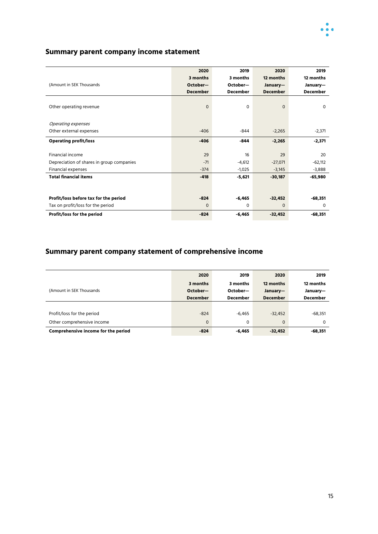

#### **Summary parent company income statement**

|                                           | 2020            | 2019            | 2020            | 2019            |
|-------------------------------------------|-----------------|-----------------|-----------------|-----------------|
|                                           | 3 months        | 3 months        | 12 months       | 12 months       |
| (Amount in SEK Thousands                  | October-        | October-        | January-        | January-        |
|                                           | <b>December</b> | <b>December</b> | <b>December</b> | <b>December</b> |
|                                           |                 |                 |                 |                 |
| Other operating revenue                   | $\mathbf 0$     | 0               | $\Omega$        | $\mathbf 0$     |
|                                           |                 |                 |                 |                 |
| Operating expenses                        |                 |                 |                 |                 |
| Other external expenses                   | $-406$          | $-844$          | $-2,265$        | $-2,371$        |
|                                           |                 |                 |                 |                 |
| <b>Operating profit/loss</b>              | $-406$          | $-844$          | $-2,265$        | $-2,371$        |
|                                           |                 |                 |                 |                 |
| Financial income                          | 29              | 16              | 29              | 20              |
| Depreciation of shares in group companies | $-71$           | $-4,612$        | $-27,071$       | $-62,112$       |
| <b>Financial expenses</b>                 | $-374$          | $-1,025$        | $-3,145$        | $-3,888$        |
| <b>Total financial items</b>              | $-418$          | $-5,621$        | $-30,187$       | -65,980         |
|                                           |                 |                 |                 |                 |
|                                           |                 |                 |                 |                 |
| Profit/loss before tax for the period     | $-824$          | $-6,465$        | $-32,452$       | -68,351         |
| Tax on profit/loss for the period         | $\Omega$        | 0               | $\Omega$        | $\Omega$        |
| Profit/loss for the period                | $-824$          | $-6,465$        | $-32,452$       | $-68,351$       |
|                                           |                 |                 |                 |                 |

### **Summary parent company statement of comprehensive income**

|                                     | 2020            | 2019            | 2020            | 2019            |
|-------------------------------------|-----------------|-----------------|-----------------|-----------------|
|                                     | 3 months        | 3 months        | 12 months       | 12 months       |
| (Amount in SEK Thousands)           | October-        | October-        | January-        | January-        |
|                                     | <b>December</b> | <b>December</b> | <b>December</b> | <b>December</b> |
|                                     |                 |                 |                 |                 |
| Profit/loss for the period          | $-824$          | $-6.465$        | $-32.452$       | $-68,351$       |
| Other comprehensive income          | $\mathbf 0$     | 0               | $\Omega$        | 0               |
| Comprehensive income for the period | $-824$          | $-6,465$        | $-32,452$       | $-68,351$       |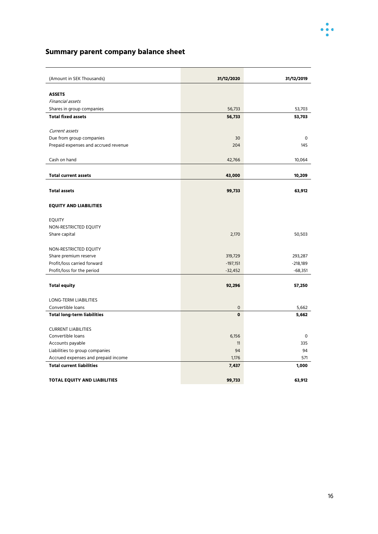

### **Summary parent company balance sheet**

| (Amount in SEK Thousands)                            | 31/12/2020          | 31/12/2019 |
|------------------------------------------------------|---------------------|------------|
|                                                      |                     |            |
| <b>ASSETS</b>                                        |                     |            |
| Financial assets                                     |                     |            |
| Shares in group companies                            | 56,733              | 53,703     |
| <b>Total fixed assets</b>                            | 56,733              | 53,703     |
| Current assets                                       |                     |            |
| Due from group companies                             | 30                  | 0          |
| Prepaid expenses and accrued revenue                 | 204                 | 145        |
|                                                      |                     |            |
| Cash on hand                                         | 42,766              | 10,064     |
|                                                      |                     |            |
| <b>Total current assets</b>                          | 43,000              | 10,209     |
|                                                      |                     |            |
| <b>Total assets</b>                                  | 99,733              | 63,912     |
|                                                      |                     |            |
| <b>EQUITY AND LIABILITIES</b>                        |                     |            |
|                                                      |                     |            |
| <b>EQUITY</b>                                        |                     |            |
| NON-RESTRICTED EQUITY                                |                     |            |
| Share capital                                        | 2,170               | 50,503     |
|                                                      |                     |            |
| NON-RESTRICTED EQUITY                                | 319,729             | 293,287    |
| Share premium reserve<br>Profit/loss carried forward | $-197,151$          | $-218,189$ |
| Profit/loss for the period                           | $-32,452$           | $-68,351$  |
|                                                      |                     |            |
| <b>Total equity</b>                                  | 92,296              | 57,250     |
|                                                      |                     |            |
| <b>LONG-TERM LIABILITIES</b>                         |                     |            |
| Convertible loans                                    | $\mathsf{O}\xspace$ | 5,662      |
| <b>Total long-term liabilities</b>                   | $\mathbf 0$         | 5,662      |
|                                                      |                     |            |
| <b>CURRENT LIABILITIES</b>                           |                     |            |
| Convertible loans                                    | 6,156               | 0          |
| Accounts payable                                     | 11                  | 335        |
| Liabilities to group companies                       | 94                  | 94         |
| Accrued expenses and prepaid income                  | 1,176               | 571        |
| <b>Total current liabilities</b>                     | 7,437               | 1,000      |
|                                                      |                     |            |
| <b>TOTAL EQUITY AND LIABILITIES</b>                  | 99,733              | 63,912     |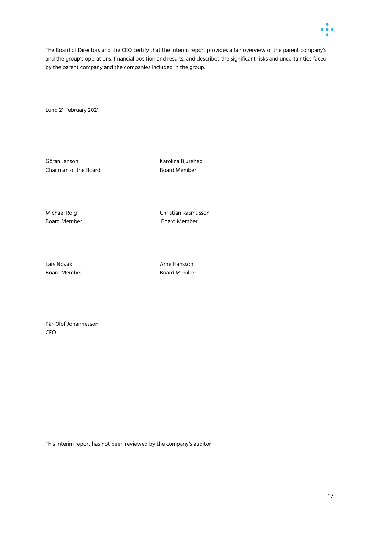

The Board of Directors and the CEO certify that the interim report provides a fair overview of the parent company's and the group's operations, financial position and results, and describes the significant risks and uncertainties faced by the parent company and the companies included in the group.

Lund 21 February 2021

Chairman of the Board **Board Chairman** of the Board

Göran Janson Karolina Bjurehed

Michael Roig Christian Rasmusson Board Member **Board Member** 

Lars Novak **Arne Hansson** Board Member **Board Member** 

Pär-Olof Johannesson CEO

This interim report has not been reviewed by the company's auditor